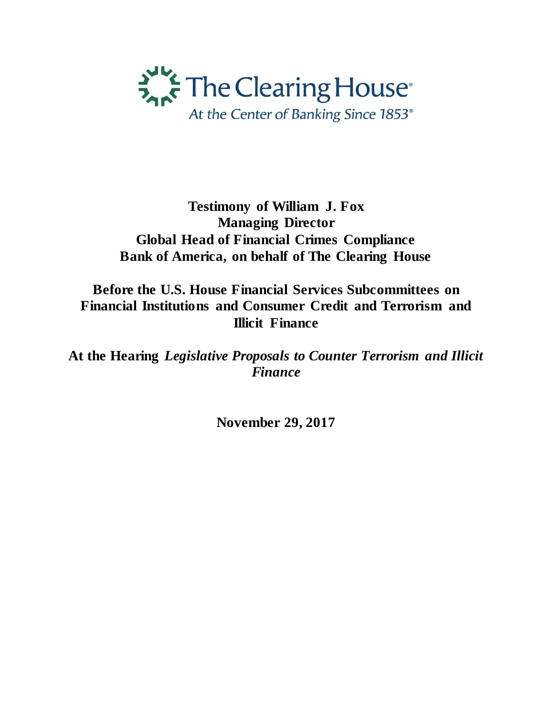

## **Testimony of William J. Fox Managing Director Global Head of Financial Crimes Compliance Bank of America, on behalf of The Clearing House**

**Before the U.S. House Financial Services Subcommittees on Financial Institutions and Consumer Credit and Terrorism and Illicit Finance** 

**At the Hearing** *Legislative Proposals to Counter Terrorism and Illicit Finance* 

**November 29, 2017**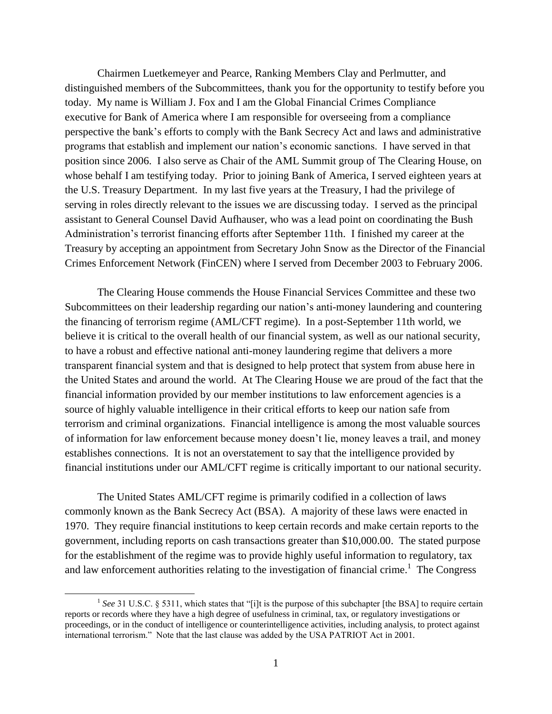Chairmen Luetkemeyer and Pearce, Ranking Members Clay and Perlmutter, and distinguished members of the Subcommittees, thank you for the opportunity to testify before you today. My name is William J. Fox and I am the Global Financial Crimes Compliance executive for Bank of America where I am responsible for overseeing from a compliance perspective the bank's efforts to comply with the Bank Secrecy Act and laws and administrative programs that establish and implement our nation's economic sanctions. I have served in that position since 2006. I also serve as Chair of the AML Summit group of The Clearing House, on whose behalf I am testifying today. Prior to joining Bank of America, I served eighteen years at the U.S. Treasury Department. In my last five years at the Treasury, I had the privilege of serving in roles directly relevant to the issues we are discussing today. I served as the principal assistant to General Counsel David Aufhauser, who was a lead point on coordinating the Bush Administration's terrorist financing efforts after September 11th. I finished my career at the Treasury by accepting an appointment from Secretary John Snow as the Director of the Financial Crimes Enforcement Network (FinCEN) where I served from December 2003 to February 2006.

The Clearing House commends the House Financial Services Committee and these two Subcommittees on their leadership regarding our nation's anti-money laundering and countering the financing of terrorism regime (AML/CFT regime). In a post-September 11th world, we believe it is critical to the overall health of our financial system, as well as our national security, to have a robust and effective national anti-money laundering regime that delivers a more transparent financial system and that is designed to help protect that system from abuse here in the United States and around the world. At The Clearing House we are proud of the fact that the financial information provided by our member institutions to law enforcement agencies is a source of highly valuable intelligence in their critical efforts to keep our nation safe from terrorism and criminal organizations. Financial intelligence is among the most valuable sources of information for law enforcement because money doesn't lie, money leaves a trail, and money establishes connections. It is not an overstatement to say that the intelligence provided by financial institutions under our AML/CFT regime is critically important to our national security.

The United States AML/CFT regime is primarily codified in a collection of laws commonly known as the Bank Secrecy Act (BSA). A majority of these laws were enacted in 1970. They require financial institutions to keep certain records and make certain reports to the government, including reports on cash transactions greater than \$10,000.00. The stated purpose for the establishment of the regime was to provide highly useful information to regulatory, tax and law enforcement authorities relating to the investigation of financial crime.<sup>1</sup> The Congress

<sup>&</sup>lt;sup>1</sup> See 31 U.S.C. § 5311, which states that "[i]t is the purpose of this subchapter [the BSA] to require certain reports or records where they have a high degree of usefulness in criminal, tax, or regulatory investigations or proceedings, or in the conduct of intelligence or counterintelligence activities, including analysis, to protect against international terrorism." Note that the last clause was added by the USA PATRIOT Act in 2001.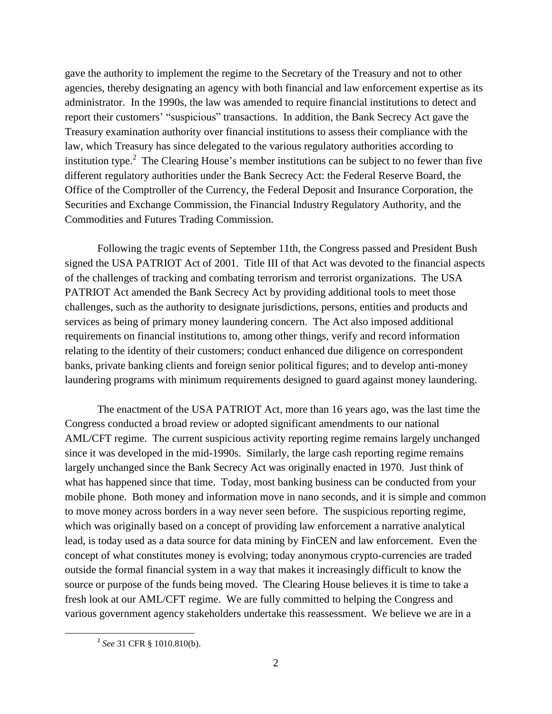gave the authority to implement the regime to the Secretary of the Treasury and not to other agencies, thereby designating an agency with both financial and law enforcement expertise as its administrator. In the 1990s, the law was amended to require financial institutions to detect and report their customers' "suspicious" transactions. In addition, the Bank Secrecy Act gave the Treasury examination authority over financial institutions to assess their compliance with the law, which Treasury has since delegated to the various regulatory authorities according to institution type.<sup>2</sup> The Clearing House's member institutions can be subject to no fewer than five different regulatory authorities under the Bank Secrecy Act: the Federal Reserve Board, the Office of the Comptroller of the Currency, the Federal Deposit and Insurance Corporation, the Securities and Exchange Commission, the Financial Industry Regulatory Authority, and the Commodities and Futures Trading Commission.

Following the tragic events of September 11th, the Congress passed and President Bush signed the USA PATRIOT Act of 2001. Title III of that Act was devoted to the financial aspects of the challenges of tracking and combating terrorism and terrorist organizations. The USA PATRIOT Act amended the Bank Secrecy Act by providing additional tools to meet those challenges, such as the authority to designate jurisdictions, persons, entities and products and services as being of primary money laundering concern. The Act also imposed additional requirements on financial institutions to, among other things, verify and record information relating to the identity of their customers; conduct enhanced due diligence on correspondent banks, private banking clients and foreign senior political figures; and to develop anti-money laundering programs with minimum requirements designed to guard against money laundering.

The enactment of the USA PATRIOT Act, more than 16 years ago, was the last time the Congress conducted a broad review or adopted significant amendments to our national AML/CFT regime. The current suspicious activity reporting regime remains largely unchanged since it was developed in the mid-1990s. Similarly, the large cash reporting regime remains largely unchanged since the Bank Secrecy Act was originally enacted in 1970. Just think of what has happened since that time. Today, most banking business can be conducted from your mobile phone. Both money and information move in nano seconds, and it is simple and common to move money across borders in a way never seen before. The suspicious reporting regime, which was originally based on a concept of providing law enforcement a narrative analytical lead, is today used as a data source for data mining by FinCEN and law enforcement. Even the concept of what constitutes money is evolving; today anonymous crypto-currencies are traded outside the formal financial system in a way that makes it increasingly difficult to know the source or purpose of the funds being moved. The Clearing House believes it is time to take a fresh look at our AML/CFT regime. We are fully committed to helping the Congress and various government agency stakeholders undertake this reassessment. We believe we are in a

<sup>2</sup> *See* 31 CFR § 1010.810(b).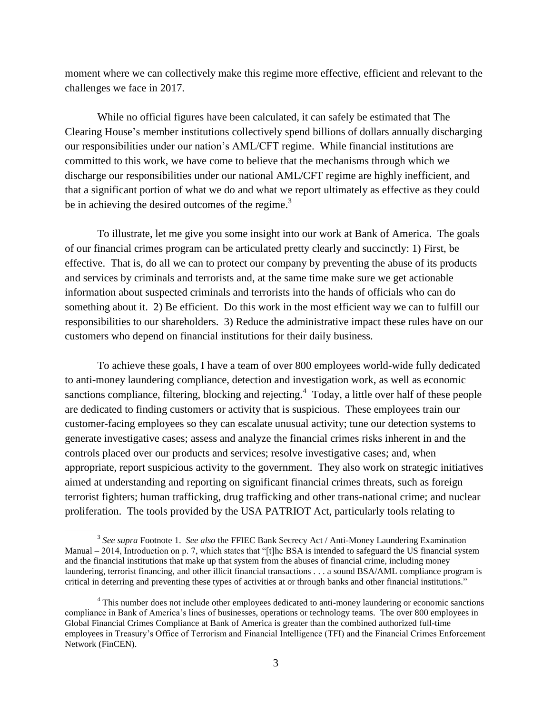moment where we can collectively make this regime more effective, efficient and relevant to the challenges we face in 2017.

While no official figures have been calculated, it can safely be estimated that The Clearing House's member institutions collectively spend billions of dollars annually discharging our responsibilities under our nation's AML/CFT regime. While financial institutions are committed to this work, we have come to believe that the mechanisms through which we discharge our responsibilities under our national AML/CFT regime are highly inefficient, and that a significant portion of what we do and what we report ultimately as effective as they could be in achieving the desired outcomes of the regime.<sup>3</sup>

To illustrate, let me give you some insight into our work at Bank of America. The goals of our financial crimes program can be articulated pretty clearly and succinctly: 1) First, be effective. That is, do all we can to protect our company by preventing the abuse of its products and services by criminals and terrorists and, at the same time make sure we get actionable information about suspected criminals and terrorists into the hands of officials who can do something about it. 2) Be efficient. Do this work in the most efficient way we can to fulfill our responsibilities to our shareholders. 3) Reduce the administrative impact these rules have on our customers who depend on financial institutions for their daily business.

To achieve these goals, I have a team of over 800 employees world-wide fully dedicated to anti-money laundering compliance, detection and investigation work, as well as economic sanctions compliance, filtering, blocking and rejecting.<sup>4</sup> Today, a little over half of these people are dedicated to finding customers or activity that is suspicious. These employees train our customer-facing employees so they can escalate unusual activity; tune our detection systems to generate investigative cases; assess and analyze the financial crimes risks inherent in and the controls placed over our products and services; resolve investigative cases; and, when appropriate, report suspicious activity to the government. They also work on strategic initiatives aimed at understanding and reporting on significant financial crimes threats, such as foreign terrorist fighters; human trafficking, drug trafficking and other trans-national crime; and nuclear proliferation. The tools provided by the USA PATRIOT Act, particularly tools relating to

<sup>&</sup>lt;sup>3</sup> See supra Footnote 1. See also the FFIEC Bank Secrecy Act / Anti-Money Laundering Examination Manual – 2014, Introduction on p. 7, which states that "[t]he BSA is intended to safeguard the US financial system and the financial institutions that make up that system from the abuses of financial crime, including money laundering, terrorist financing, and other illicit financial transactions . . . a sound BSA/AML compliance program is critical in deterring and preventing these types of activities at or through banks and other financial institutions."

<sup>&</sup>lt;sup>4</sup> This number does not include other employees dedicated to anti-money laundering or economic sanctions compliance in Bank of America's lines of businesses, operations or technology teams. The over 800 employees in Global Financial Crimes Compliance at Bank of America is greater than the combined authorized full-time employees in Treasury's Office of Terrorism and Financial Intelligence (TFI) and the Financial Crimes Enforcement Network (FinCEN).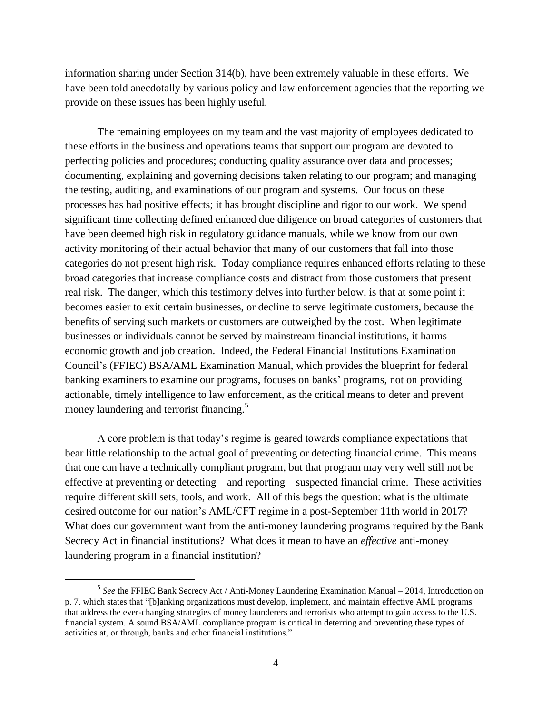information sharing under Section 314(b), have been extremely valuable in these efforts. We have been told anecdotally by various policy and law enforcement agencies that the reporting we provide on these issues has been highly useful.

The remaining employees on my team and the vast majority of employees dedicated to these efforts in the business and operations teams that support our program are devoted to perfecting policies and procedures; conducting quality assurance over data and processes; documenting, explaining and governing decisions taken relating to our program; and managing the testing, auditing, and examinations of our program and systems. Our focus on these processes has had positive effects; it has brought discipline and rigor to our work. We spend significant time collecting defined enhanced due diligence on broad categories of customers that have been deemed high risk in regulatory guidance manuals, while we know from our own activity monitoring of their actual behavior that many of our customers that fall into those categories do not present high risk. Today compliance requires enhanced efforts relating to these broad categories that increase compliance costs and distract from those customers that present real risk. The danger, which this testimony delves into further below, is that at some point it becomes easier to exit certain businesses, or decline to serve legitimate customers, because the benefits of serving such markets or customers are outweighed by the cost. When legitimate businesses or individuals cannot be served by mainstream financial institutions, it harms economic growth and job creation. Indeed, the Federal Financial Institutions Examination Council's (FFIEC) BSA/AML Examination Manual, which provides the blueprint for federal banking examiners to examine our programs, focuses on banks' programs, not on providing actionable, timely intelligence to law enforcement, as the critical means to deter and prevent money laundering and terrorist financing.<sup>5</sup>

A core problem is that today's regime is geared towards compliance expectations that bear little relationship to the actual goal of preventing or detecting financial crime. This means that one can have a technically compliant program, but that program may very well still not be effective at preventing or detecting – and reporting – suspected financial crime. These activities require different skill sets, tools, and work. All of this begs the question: what is the ultimate desired outcome for our nation's AML/CFT regime in a post-September 11th world in 2017? What does our government want from the anti-money laundering programs required by the Bank Secrecy Act in financial institutions? What does it mean to have an *effective* anti-money laundering program in a financial institution?

l

<sup>&</sup>lt;sup>5</sup> See the FFIEC Bank Secrecy Act / Anti-Money Laundering Examination Manual – 2014, Introduction on p. 7, which states that "[b]anking organizations must develop, implement, and maintain effective AML programs that address the ever-changing strategies of money launderers and terrorists who attempt to gain access to the U.S. financial system. A sound BSA/AML compliance program is critical in deterring and preventing these types of activities at, or through, banks and other financial institutions."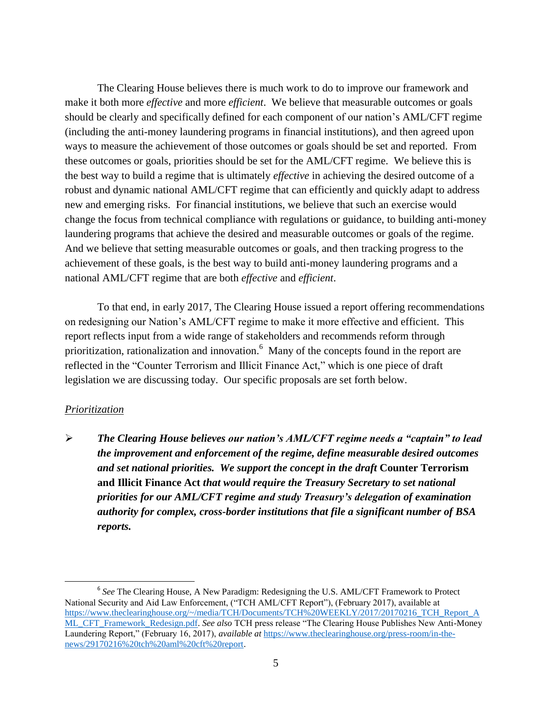The Clearing House believes there is much work to do to improve our framework and make it both more *effective* and more *efficient*. We believe that measurable outcomes or goals should be clearly and specifically defined for each component of our nation's AML/CFT regime (including the anti-money laundering programs in financial institutions), and then agreed upon ways to measure the achievement of those outcomes or goals should be set and reported. From these outcomes or goals, priorities should be set for the AML/CFT regime. We believe this is the best way to build a regime that is ultimately *effective* in achieving the desired outcome of a robust and dynamic national AML/CFT regime that can efficiently and quickly adapt to address new and emerging risks. For financial institutions, we believe that such an exercise would change the focus from technical compliance with regulations or guidance, to building anti-money laundering programs that achieve the desired and measurable outcomes or goals of the regime. And we believe that setting measurable outcomes or goals, and then tracking progress to the achievement of these goals, is the best way to build anti-money laundering programs and a national AML/CFT regime that are both *effective* and *efficient*.

To that end, in early 2017, The Clearing House issued a report offering recommendations on redesigning our Nation's AML/CFT regime to make it more effective and efficient. This report reflects input from a wide range of stakeholders and recommends reform through prioritization, rationalization and innovation.<sup>6</sup> Many of the concepts found in the report are reflected in the "Counter Terrorism and Illicit Finance Act," which is one piece of draft legislation we are discussing today. Our specific proposals are set forth below.

## *Prioritization*

l

 *The Clearing House believes our nation's AML/CFT regime needs a "captain" to lead the improvement and enforcement of the regime, define measurable desired outcomes and set national priorities. We support the concept in the draft* **Counter Terrorism and Illicit Finance Act** *that would require the Treasury Secretary to set national priorities for our AML/CFT regime and study Treasury's delegation of examination authority for complex, cross-border institutions that file a significant number of BSA reports.* 

<sup>&</sup>lt;sup>6</sup> See The Clearing House, A New Paradigm: Redesigning the U.S. AML/CFT Framework to Protect National Security and Aid Law Enforcement, ("TCH AML/CFT Report"), (February 2017), available at [https://www.theclearinghouse.org/~/media/TCH/Documents/TCH%20WEEKLY/2017/20170216\\_TCH\\_Report\\_A](https://www.theclearinghouse.org/~/media/TCH/Documents/TCH%20WEEKLY/2017/20170216_TCH_Report_AML_CFT_Framework_Redesign.pdf) [ML\\_CFT\\_Framework\\_Redesign.pdf.](https://www.theclearinghouse.org/~/media/TCH/Documents/TCH%20WEEKLY/2017/20170216_TCH_Report_AML_CFT_Framework_Redesign.pdf) *See also* TCH press release "The Clearing House Publishes New Anti-Money Laundering Report," (February 16, 2017), *available at* [https://www.theclearinghouse.org/press-room/in-the](https://www.theclearinghouse.org/press-room/in-the-news/29170216%20tch%20aml%20cft%20report)[news/29170216%20tch%20aml%20cft%20report.](https://www.theclearinghouse.org/press-room/in-the-news/29170216%20tch%20aml%20cft%20report)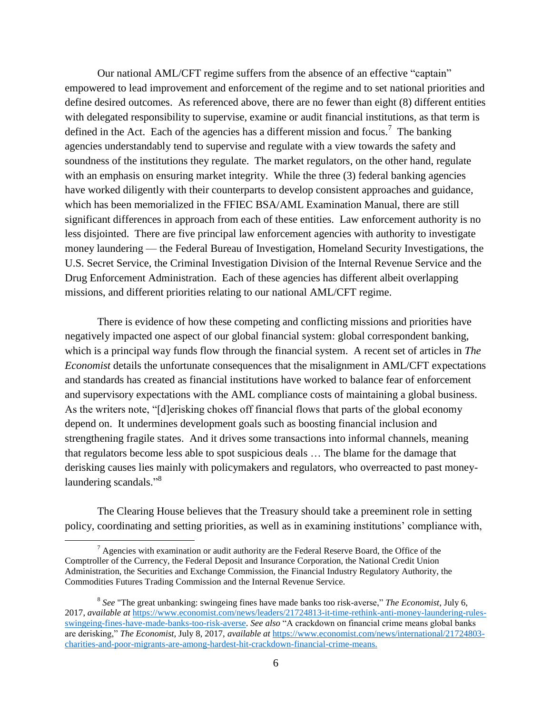Our national AML/CFT regime suffers from the absence of an effective "captain" empowered to lead improvement and enforcement of the regime and to set national priorities and define desired outcomes. As referenced above, there are no fewer than eight (8) different entities with delegated responsibility to supervise, examine or audit financial institutions, as that term is defined in the Act. Each of the agencies has a different mission and focus.<sup>7</sup> The banking agencies understandably tend to supervise and regulate with a view towards the safety and soundness of the institutions they regulate. The market regulators, on the other hand, regulate with an emphasis on ensuring market integrity. While the three (3) federal banking agencies have worked diligently with their counterparts to develop consistent approaches and guidance, which has been memorialized in the FFIEC BSA/AML Examination Manual, there are still significant differences in approach from each of these entities. Law enforcement authority is no less disjointed. There are five principal law enforcement agencies with authority to investigate money laundering — the Federal Bureau of Investigation, Homeland Security Investigations, the U.S. Secret Service, the Criminal Investigation Division of the Internal Revenue Service and the Drug Enforcement Administration. Each of these agencies has different albeit overlapping missions, and different priorities relating to our national AML/CFT regime.

There is evidence of how these competing and conflicting missions and priorities have negatively impacted one aspect of our global financial system: global correspondent banking, which is a principal way funds flow through the financial system. A recent set of articles in *The Economist* details the unfortunate consequences that the misalignment in AML/CFT expectations and standards has created as financial institutions have worked to balance fear of enforcement and supervisory expectations with the AML compliance costs of maintaining a global business. As the writers note, "[d]erisking chokes off financial flows that parts of the global economy depend on. It undermines development goals such as boosting financial inclusion and strengthening fragile states. And it drives some transactions into informal channels, meaning that regulators become less able to spot suspicious deals … The blame for the damage that derisking causes lies mainly with policymakers and regulators, who overreacted to past moneylaundering scandals."<sup>8</sup>

The Clearing House believes that the Treasury should take a preeminent role in setting policy, coordinating and setting priorities, as well as in examining institutions' compliance with,

 $<sup>7</sup>$  Agencies with examination or audit authority are the Federal Reserve Board, the Office of the</sup> Comptroller of the Currency, the Federal Deposit and Insurance Corporation, the National Credit Union Administration, the Securities and Exchange Commission, the Financial Industry Regulatory Authority, the Commodities Futures Trading Commission and the Internal Revenue Service.

<sup>8</sup> *See* "The great unbanking: swingeing fines have made banks too risk-averse," *The Economist*, July 6, 2017, *available at* [https://www.economist.com/news/leaders/21724813-it-time-rethink-anti-money-laundering-rules](https://www.economist.com/news/leaders/21724813-it-time-rethink-anti-money-laundering-rules-swingeing-fines-have-made-banks-too-risk-averse)[swingeing-fines-have-made-banks-too-risk-averse.](https://www.economist.com/news/leaders/21724813-it-time-rethink-anti-money-laundering-rules-swingeing-fines-have-made-banks-too-risk-averse) *See also* "A crackdown on financial crime means global banks are derisking," *The Economist*, July 8, 2017, *available at* [https://www.economist.com/news/international/21724803](https://www.economist.com/news/international/21724803-charities-and-poor-migrants-are-among-hardest-hit-crackdown-financial-crime-means) [charities-and-poor-migrants-are-among-hardest-hit-crackdown-financial-crime-means.](https://www.economist.com/news/international/21724803-charities-and-poor-migrants-are-among-hardest-hit-crackdown-financial-crime-means)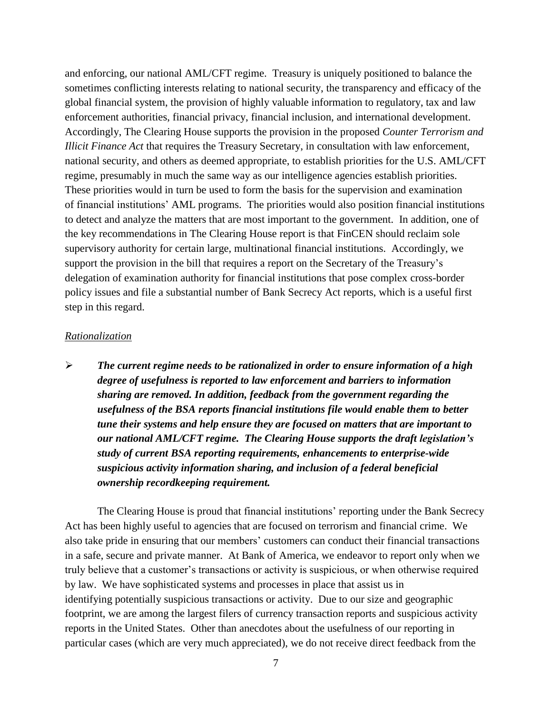and enforcing, our national AML/CFT regime. Treasury is uniquely positioned to balance the sometimes conflicting interests relating to national security, the transparency and efficacy of the global financial system, the provision of highly valuable information to regulatory, tax and law enforcement authorities, financial privacy, financial inclusion, and international development. Accordingly, The Clearing House supports the provision in the proposed *Counter Terrorism and Illicit Finance Act* that requires the Treasury Secretary, in consultation with law enforcement, national security, and others as deemed appropriate, to establish priorities for the U.S. AML/CFT regime, presumably in much the same way as our intelligence agencies establish priorities. These priorities would in turn be used to form the basis for the supervision and examination of financial institutions' AML programs. The priorities would also position financial institutions to detect and analyze the matters that are most important to the government. In addition, one of the key recommendations in The Clearing House report is that FinCEN should reclaim sole supervisory authority for certain large, multinational financial institutions. Accordingly, we support the provision in the bill that requires a report on the Secretary of the Treasury's delegation of examination authority for financial institutions that pose complex cross-border policy issues and file a substantial number of Bank Secrecy Act reports, which is a useful first step in this regard.

## *Rationalization*

 *The current regime needs to be rationalized in order to ensure information of a high degree of usefulness is reported to law enforcement and barriers to information sharing are removed. In addition, feedback from the government regarding the usefulness of the BSA reports financial institutions file would enable them to better tune their systems and help ensure they are focused on matters that are important to our national AML/CFT regime. The Clearing House supports the draft legislation's study of current BSA reporting requirements, enhancements to enterprise-wide suspicious activity information sharing, and inclusion of a federal beneficial ownership recordkeeping requirement.* 

The Clearing House is proud that financial institutions' reporting under the Bank Secrecy Act has been highly useful to agencies that are focused on terrorism and financial crime. We also take pride in ensuring that our members' customers can conduct their financial transactions in a safe, secure and private manner. At Bank of America, we endeavor to report only when we truly believe that a customer's transactions or activity is suspicious, or when otherwise required by law. We have sophisticated systems and processes in place that assist us in identifying potentially suspicious transactions or activity. Due to our size and geographic footprint, we are among the largest filers of currency transaction reports and suspicious activity reports in the United States. Other than anecdotes about the usefulness of our reporting in particular cases (which are very much appreciated), we do not receive direct feedback from the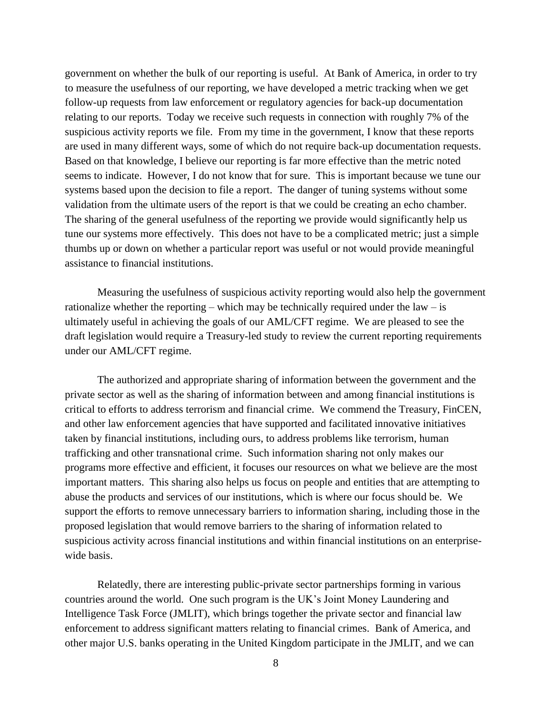government on whether the bulk of our reporting is useful. At Bank of America, in order to try to measure the usefulness of our reporting, we have developed a metric tracking when we get follow-up requests from law enforcement or regulatory agencies for back-up documentation relating to our reports. Today we receive such requests in connection with roughly 7% of the suspicious activity reports we file. From my time in the government, I know that these reports are used in many different ways, some of which do not require back-up documentation requests. Based on that knowledge, I believe our reporting is far more effective than the metric noted seems to indicate. However, I do not know that for sure. This is important because we tune our systems based upon the decision to file a report. The danger of tuning systems without some validation from the ultimate users of the report is that we could be creating an echo chamber. The sharing of the general usefulness of the reporting we provide would significantly help us tune our systems more effectively. This does not have to be a complicated metric; just a simple thumbs up or down on whether a particular report was useful or not would provide meaningful assistance to financial institutions.

Measuring the usefulness of suspicious activity reporting would also help the government rationalize whether the reporting – which may be technically required under the law – is ultimately useful in achieving the goals of our AML/CFT regime. We are pleased to see the draft legislation would require a Treasury-led study to review the current reporting requirements under our AML/CFT regime.

The authorized and appropriate sharing of information between the government and the private sector as well as the sharing of information between and among financial institutions is critical to efforts to address terrorism and financial crime. We commend the Treasury, FinCEN, and other law enforcement agencies that have supported and facilitated innovative initiatives taken by financial institutions, including ours, to address problems like terrorism, human trafficking and other transnational crime. Such information sharing not only makes our programs more effective and efficient, it focuses our resources on what we believe are the most important matters. This sharing also helps us focus on people and entities that are attempting to abuse the products and services of our institutions, which is where our focus should be. We support the efforts to remove unnecessary barriers to information sharing, including those in the proposed legislation that would remove barriers to the sharing of information related to suspicious activity across financial institutions and within financial institutions on an enterprisewide basis.

Relatedly, there are interesting public-private sector partnerships forming in various countries around the world. One such program is the UK's Joint Money Laundering and Intelligence Task Force (JMLIT), which brings together the private sector and financial law enforcement to address significant matters relating to financial crimes. Bank of America, and other major U.S. banks operating in the United Kingdom participate in the JMLIT, and we can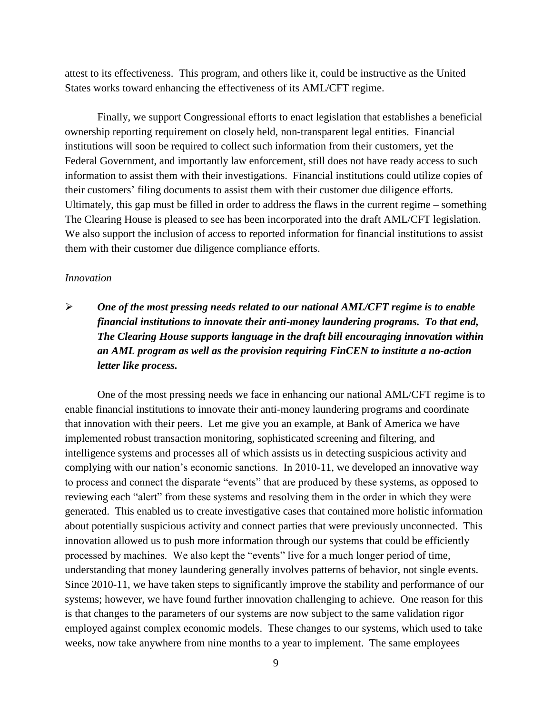attest to its effectiveness. This program, and others like it, could be instructive as the United States works toward enhancing the effectiveness of its AML/CFT regime.

Finally, we support Congressional efforts to enact legislation that establishes a beneficial ownership reporting requirement on closely held, non-transparent legal entities. Financial institutions will soon be required to collect such information from their customers, yet the Federal Government, and importantly law enforcement, still does not have ready access to such information to assist them with their investigations. Financial institutions could utilize copies of their customers' filing documents to assist them with their customer due diligence efforts. Ultimately, this gap must be filled in order to address the flaws in the current regime – something The Clearing House is pleased to see has been incorporated into the draft AML/CFT legislation. We also support the inclusion of access to reported information for financial institutions to assist them with their customer due diligence compliance efforts.

## *Innovation*

 *One of the most pressing needs related to our national AML/CFT regime is to enable financial institutions to innovate their anti-money laundering programs. To that end, The Clearing House supports language in the draft bill encouraging innovation within an AML program as well as the provision requiring FinCEN to institute a no-action letter like process.*

One of the most pressing needs we face in enhancing our national AML/CFT regime is to enable financial institutions to innovate their anti-money laundering programs and coordinate that innovation with their peers. Let me give you an example, at Bank of America we have implemented robust transaction monitoring, sophisticated screening and filtering, and intelligence systems and processes all of which assists us in detecting suspicious activity and complying with our nation's economic sanctions. In 2010-11, we developed an innovative way to process and connect the disparate "events" that are produced by these systems, as opposed to reviewing each "alert" from these systems and resolving them in the order in which they were generated. This enabled us to create investigative cases that contained more holistic information about potentially suspicious activity and connect parties that were previously unconnected. This innovation allowed us to push more information through our systems that could be efficiently processed by machines. We also kept the "events" live for a much longer period of time, understanding that money laundering generally involves patterns of behavior, not single events. Since 2010-11, we have taken steps to significantly improve the stability and performance of our systems; however, we have found further innovation challenging to achieve. One reason for this is that changes to the parameters of our systems are now subject to the same validation rigor employed against complex economic models. These changes to our systems, which used to take weeks, now take anywhere from nine months to a year to implement. The same employees